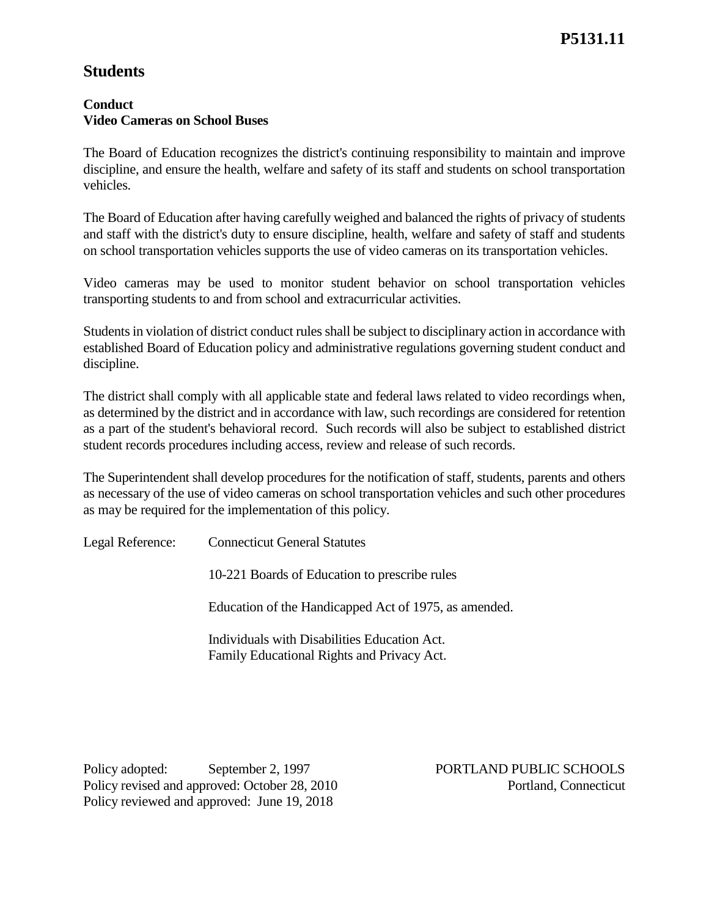# **Students**

## **Conduct Video Cameras on School Buses**

The Board of Education recognizes the district's continuing responsibility to maintain and improve discipline, and ensure the health, welfare and safety of its staff and students on school transportation vehicles.

The Board of Education after having carefully weighed and balanced the rights of privacy of students and staff with the district's duty to ensure discipline, health, welfare and safety of staff and students on school transportation vehicles supports the use of video cameras on its transportation vehicles.

Video cameras may be used to monitor student behavior on school transportation vehicles transporting students to and from school and extracurricular activities.

Students in violation of district conduct rules shall be subject to disciplinary action in accordance with established Board of Education policy and administrative regulations governing student conduct and discipline.

The district shall comply with all applicable state and federal laws related to video recordings when, as determined by the district and in accordance with law, such recordings are considered for retention as a part of the student's behavioral record. Such records will also be subject to established district student records procedures including access, review and release of such records.

The Superintendent shall develop procedures for the notification of staff, students, parents and others as necessary of the use of video cameras on school transportation vehicles and such other procedures as may be required for the implementation of this policy.

Legal Reference: Connecticut General Statutes

10-221 Boards of Education to prescribe rules

Education of the Handicapped Act of 1975, as amended.

Individuals with Disabilities Education Act. Family Educational Rights and Privacy Act.

Policy adopted: September 2, 1997 PORTLAND PUBLIC SCHOOLS Policy revised and approved: October 28, 2010 Portland, Connecticut Policy reviewed and approved: June 19, 2018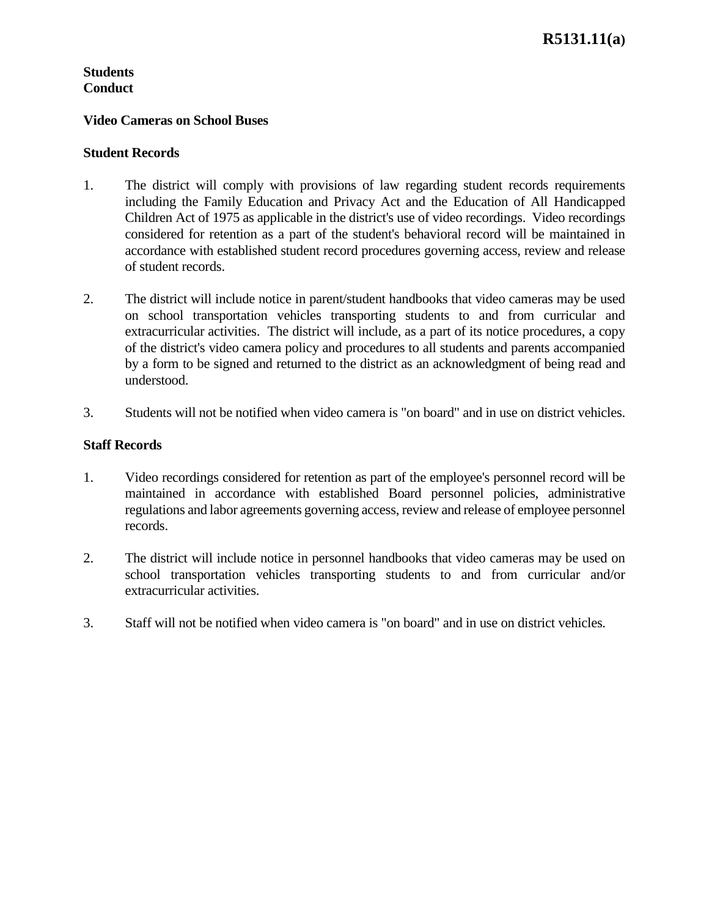## **Students Conduct**

#### **Video Cameras on School Buses**

#### **Student Records**

- 1. The district will comply with provisions of law regarding student records requirements including the Family Education and Privacy Act and the Education of All Handicapped Children Act of 1975 as applicable in the district's use of video recordings. Video recordings considered for retention as a part of the student's behavioral record will be maintained in accordance with established student record procedures governing access, review and release of student records.
- 2. The district will include notice in parent/student handbooks that video cameras may be used on school transportation vehicles transporting students to and from curricular and extracurricular activities. The district will include, as a part of its notice procedures, a copy of the district's video camera policy and procedures to all students and parents accompanied by a form to be signed and returned to the district as an acknowledgment of being read and understood.
- 3. Students will not be notified when video camera is "on board" and in use on district vehicles.

## **Staff Records**

- 1. Video recordings considered for retention as part of the employee's personnel record will be maintained in accordance with established Board personnel policies, administrative regulations and labor agreements governing access, review and release of employee personnel records.
- 2. The district will include notice in personnel handbooks that video cameras may be used on school transportation vehicles transporting students to and from curricular and/or extracurricular activities.
- 3. Staff will not be notified when video camera is "on board" and in use on district vehicles.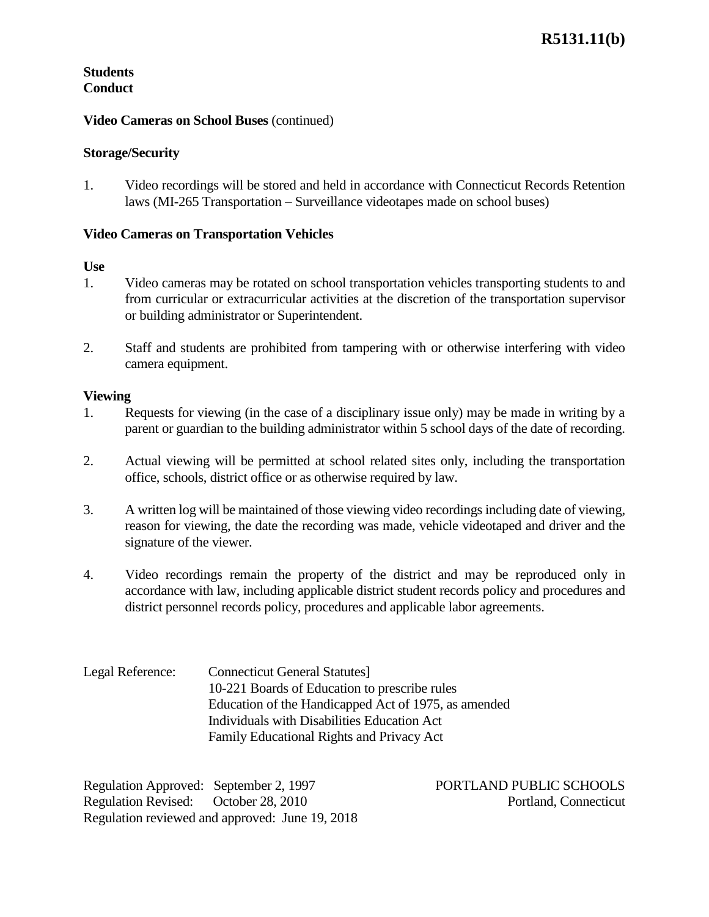## **Students Conduct**

#### **Video Cameras on School Buses** (continued)

#### **Storage/Security**

1. Video recordings will be stored and held in accordance with Connecticut Records Retention laws (MI-265 Transportation – Surveillance videotapes made on school buses)

#### **Video Cameras on Transportation Vehicles**

#### **Use**

- 1. Video cameras may be rotated on school transportation vehicles transporting students to and from curricular or extracurricular activities at the discretion of the transportation supervisor or building administrator or Superintendent.
- 2. Staff and students are prohibited from tampering with or otherwise interfering with video camera equipment.

#### **Viewing**

- 1. Requests for viewing (in the case of a disciplinary issue only) may be made in writing by a parent or guardian to the building administrator within 5 school days of the date of recording.
- 2. Actual viewing will be permitted at school related sites only, including the transportation office, schools, district office or as otherwise required by law.
- 3. A written log will be maintained of those viewing video recordings including date of viewing, reason for viewing, the date the recording was made, vehicle videotaped and driver and the signature of the viewer.
- 4. Video recordings remain the property of the district and may be reproduced only in accordance with law, including applicable district student records policy and procedures and district personnel records policy, procedures and applicable labor agreements.

Legal Reference: Connecticut General Statutes] 10-221 Boards of Education to prescribe rules Education of the Handicapped Act of 1975, as amended Individuals with Disabilities Education Act Family Educational Rights and Privacy Act

Regulation Approved: September 2, 1997 PORTLAND PUBLIC SCHOOLS Regulation Revised: October 28, 2010 Portland, Connecticut Regulation reviewed and approved: June 19, 2018